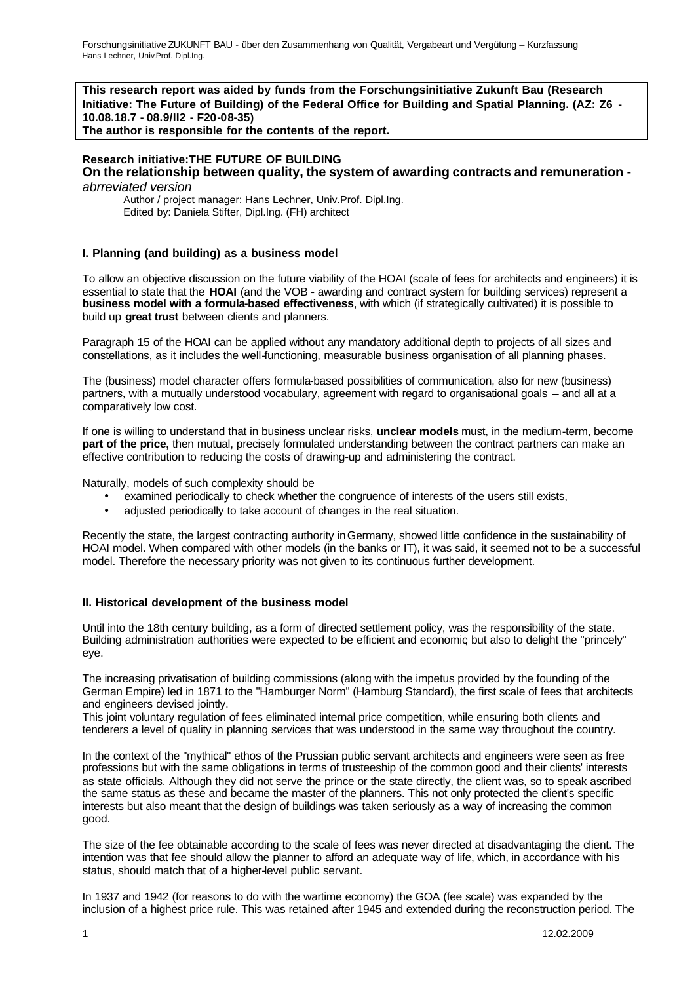**This research report was aided by funds from the Forschungsinitiative Zukunft Bau (Research Initiative: The Future of Building) of the Federal Office for Building and Spatial Planning. (AZ: Z6 - 10.08.18.7 - 08.9/II2 - F20-08-35)**

**The author is responsible for the contents of the report.**

# **Research initiative:THE FUTURE OF BUILDING On the relationship between quality, the system of awarding contracts and remuneration** -

*abrreviated version*

Author / project manager: Hans Lechner, Univ.Prof. Dipl.Ing. Edited by: Daniela Stifter, Dipl.Ing. (FH) architect

# **I. Planning (and building) as a business model**

To allow an objective discussion on the future viability of the HOAI (scale of fees for architects and engineers) it is essential to state that the **HOAI** (and the VOB - awarding and contract system for building services) represent a **business model with a formula-based effectiveness**, with which (if strategically cultivated) it is possible to build up **great trust** between clients and planners.

Paragraph 15 of the HOAI can be applied without any mandatory additional depth to projects of all sizes and constellations, as it includes the well-functioning, measurable business organisation of all planning phases.

The (business) model character offers formula-based possibilities of communication, also for new (business) partners, with a mutually understood vocabulary, agreement with regard to organisational goals – and all at a comparatively low cost.

If one is willing to understand that in business unclear risks, **unclear models** must, in the medium-term, become **part of the price,** then mutual, precisely formulated understanding between the contract partners can make an effective contribution to reducing the costs of drawing-up and administering the contract.

Naturally, models of such complexity should be

- examined periodically to check whether the congruence of interests of the users still exists,
- adjusted periodically to take account of changes in the real situation.

Recently the state, the largest contracting authority in Germany, showed little confidence in the sustainability of HOAI model. When compared with other models (in the banks or IT), it was said, it seemed not to be a successful model. Therefore the necessary priority was not given to its continuous further development.

# **II. Historical development of the business model**

Until into the 18th century building, as a form of directed settlement policy, was the responsibility of the state. Building administration authorities were expected to be efficient and economic, but also to delight the "princely" eye.

The increasing privatisation of building commissions (along with the impetus provided by the founding of the German Empire) led in 1871 to the "Hamburger Norm" (Hamburg Standard), the first scale of fees that architects and engineers devised jointly.

This joint voluntary regulation of fees eliminated internal price competition, while ensuring both clients and tenderers a level of quality in planning services that was understood in the same way throughout the country.

In the context of the "mythical" ethos of the Prussian public servant architects and engineers were seen as free professions but with the same obligations in terms of trusteeship of the common good and their clients' interests as state officials. Although they did not serve the prince or the state directly, the client was, so to speak ascribed the same status as these and became the master of the planners. This not only protected the client's specific interests but also meant that the design of buildings was taken seriously as a way of increasing the common good.

The size of the fee obtainable according to the scale of fees was never directed at disadvantaging the client. The intention was that fee should allow the planner to afford an adequate way of life, which, in accordance with his status, should match that of a higher-level public servant.

In 1937 and 1942 (for reasons to do with the wartime economy) the GOA (fee scale) was expanded by the inclusion of a highest price rule. This was retained after 1945 and extended during the reconstruction period. The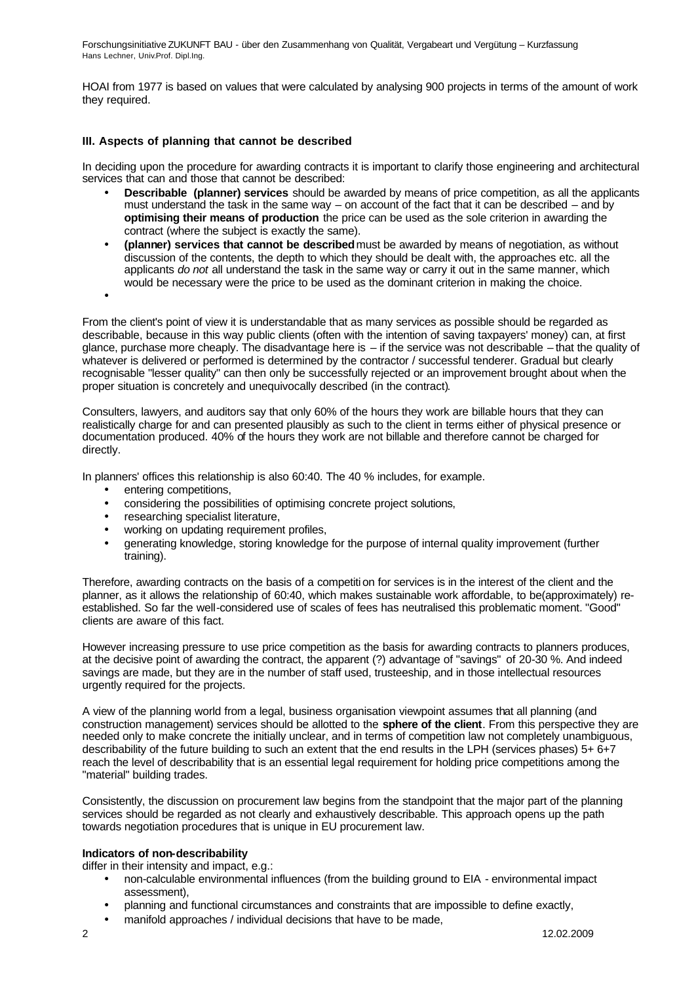HOAI from 1977 is based on values that were calculated by analysing 900 projects in terms of the amount of work they required.

# **III. Aspects of planning that cannot be described**

In deciding upon the procedure for awarding contracts it is important to clarify those engineering and architectural services that can and those that cannot be described:

- **Describable (planner) services** should be awarded by means of price competition, as all the applicants must understand the task in the same way – on account of the fact that it can be described – and by **optimising their means of production** the price can be used as the sole criterion in awarding the contract (where the subject is exactly the same).
- **(planner) services that cannot be described** must be awarded by means of negotiation, as without discussion of the contents, the depth to which they should be dealt with, the approaches etc. all the applicants *do not* all understand the task in the same way or carry it out in the same manner, which would be necessary were the price to be used as the dominant criterion in making the choice.
- •

From the client's point of view it is understandable that as many services as possible should be regarded as describable, because in this way public clients (often with the intention of saving taxpayers' money) can, at first glance, purchase more cheaply. The disadvantage here is – if the service was not describable – that the quality of whatever is delivered or performed is determined by the contractor / successful tenderer. Gradual but clearly recognisable "lesser quality" can then only be successfully rejected or an improvement brought about when the proper situation is concretely and unequivocally described (in the contract).

Consulters, lawyers, and auditors say that only 60% of the hours they work are billable hours that they can realistically charge for and can presented plausibly as such to the client in terms either of physical presence or documentation produced. 40% of the hours they work are not billable and therefore cannot be charged for directly.

In planners' offices this relationship is also 60:40. The 40 % includes, for example.

- entering competitions,
- considering the possibilities of optimising concrete project solutions,
- researching specialist literature,
- working on updating requirement profiles,
- generating knowledge, storing knowledge for the purpose of internal quality improvement (further training).

Therefore, awarding contracts on the basis of a competition for services is in the interest of the client and the planner, as it allows the relationship of 60:40, which makes sustainable work affordable, to be(approximately) reestablished. So far the well-considered use of scales of fees has neutralised this problematic moment. "Good" clients are aware of this fact.

However increasing pressure to use price competition as the basis for awarding contracts to planners produces, at the decisive point of awarding the contract, the apparent (?) advantage of "savings" of 20-30 %. And indeed savings are made, but they are in the number of staff used, trusteeship, and in those intellectual resources urgently required for the projects.

A view of the planning world from a legal, business organisation viewpoint assumes that all planning (and construction management) services should be allotted to the **sphere of the client**. From this perspective they are needed only to make concrete the initially unclear, and in terms of competition law not completely unambiguous, describability of the future building to such an extent that the end results in the LPH (services phases) 5+ 6+7 reach the level of describability that is an essential legal requirement for holding price competitions among the "material" building trades.

Consistently, the discussion on procurement law begins from the standpoint that the major part of the planning services should be regarded as not clearly and exhaustively describable. This approach opens up the path towards negotiation procedures that is unique in EU procurement law.

# **Indicators of non-describability**

differ in their intensity and impact, e.g.:

- non-calculable environmental influences (from the building ground to EIA environmental impact assessment),
- planning and functional circumstances and constraints that are impossible to define exactly,
- manifold approaches / individual decisions that have to be made,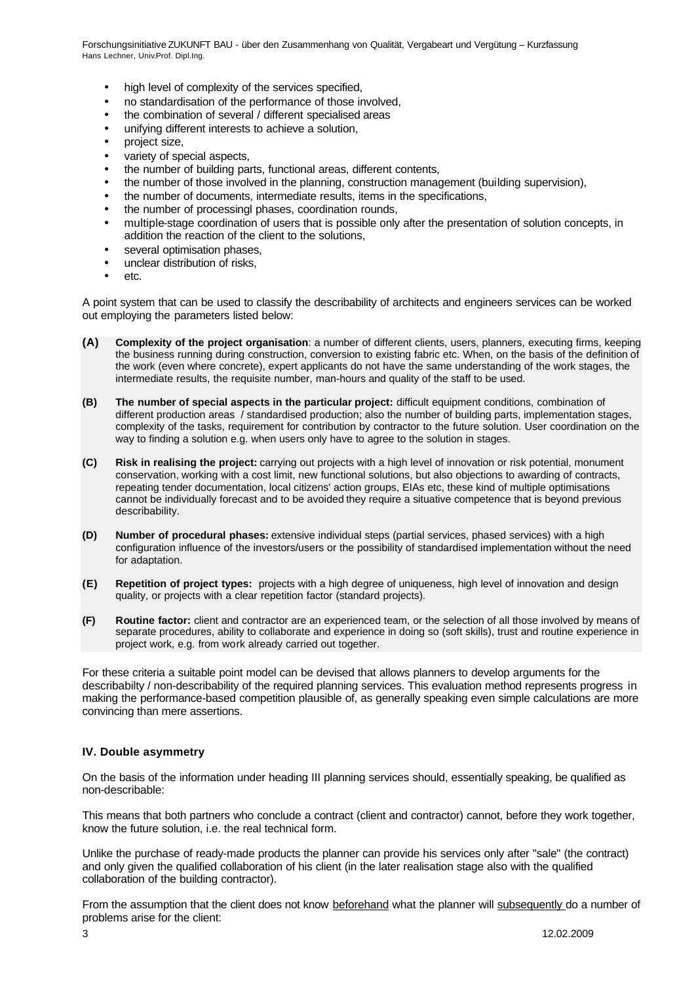- high level of complexity of the services specified,
- no standardisation of the performance of those involved,
- the combination of several / different specialised areas
- unifying different interests to achieve a solution,
- project size,
- variety of special aspects,
- the number of building parts, functional areas, different contents,
- the number of those involved in the planning, construction management (building supervision),
- the number of documents, intermediate results, items in the specifications,
- the number of processingl phases, coordination rounds,
- multiple-stage coordination of users that is possible only after the presentation of solution concepts, in addition the reaction of the client to the solutions,
- several optimisation phases,
- unclear distribution of risks,
- etc.

A point system that can be used to classify the describability of architects and engineers services can be worked out employing the parameters listed below:

- **(A) Complexity of the project organisation**: a number of different clients, users, planners, executing firms, keeping the business running during construction, conversion to existing fabric etc. When, on the basis of the definition of the work (even where concrete), expert applicants do not have the same understanding of the work stages, the intermediate results, the requisite number, man-hours and quality of the staff to be used.
- **(B) The number of special aspects in the particular project:** difficult equipment conditions, combination of different production areas / standardised production; also the number of building parts, implementation stages, complexity of the tasks, requirement for contribution by contractor to the future solution. User coordination on the way to finding a solution e.g. when users only have to agree to the solution in stages.
- **(C) Risk in realising the project:** carrying out projects with a high level of innovation or risk potential, monument conservation, working with a cost limit, new functional solutions, but also objections to awarding of contracts, repeating tender documentation, local citizens' action groups, EIAs etc, these kind of multiple optimisations cannot be individually forecast and to be avoided they require a situative competence that is beyond previous describability.
- **(D) Number of procedural phases:** extensive individual steps (partial services, phased services) with a high configuration influence of the investors/users or the possibility of standardised implementation without the need for adaptation.
- **(E) Repetition of project types:** projects with a high degree of uniqueness, high level of innovation and design quality, or projects with a clear repetition factor (standard projects).
- **(F) Routine factor:** client and contractor are an experienced team, or the selection of all those involved by means of separate procedures, ability to collaborate and experience in doing so (soft skills), trust and routine experience in project work, e.g. from work already carried out together.

For these criteria a suitable point model can be devised that allows planners to develop arguments for the describabilty / non-describability of the required planning services. This evaluation method represents progress in making the performance-based competition plausible of, as generally speaking even simple calculations are more convincing than mere assertions.

## **IV. Double asymmetry**

On the basis of the information under heading III planning services should, essentially speaking, be qualified as non-describable:

This means that both partners who conclude a contract (client and contractor) cannot, before they work together, know the future solution, i.e. the real technical form.

Unlike the purchase of ready-made products the planner can provide his services only after "sale" (the contract) and only given the qualified collaboration of his client (in the later realisation stage also with the qualified collaboration of the building contractor).

From the assumption that the client does not know beforehand what the planner will subsequently do a number of problems arise for the client: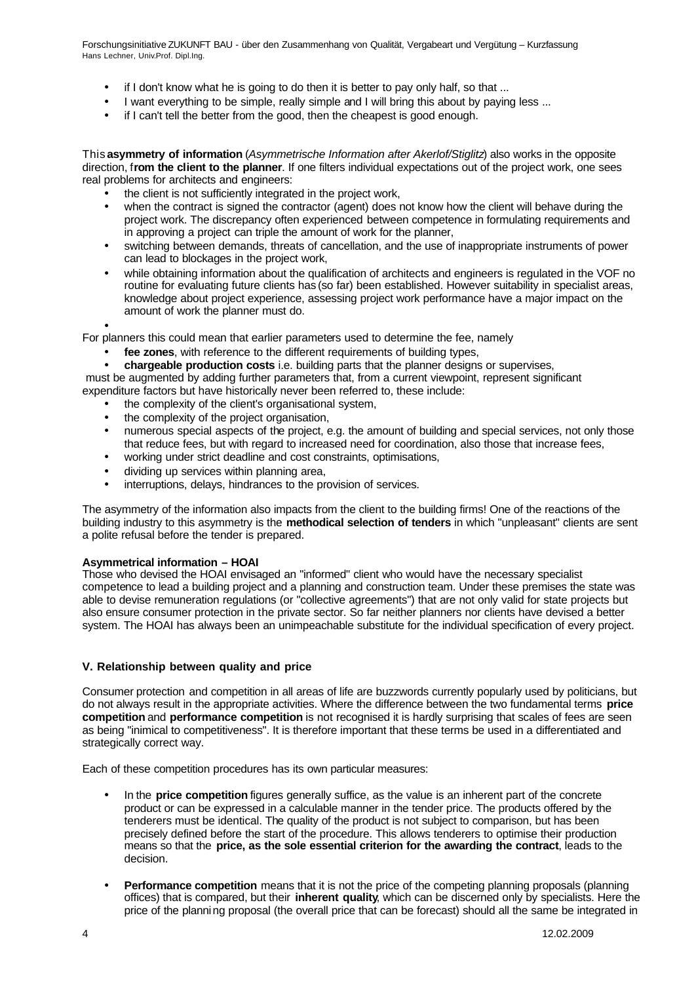- if I don't know what he is going to do then it is better to pay only half, so that ...
- I want everything to be simple, really simple and I will bring this about by paying less ...
- if I can't tell the better from the good, then the cheapest is good enough.

This **asymmetry of information** (*Asymmetrische Information after Akerlof/Stiglitz*) also works in the opposite direction, f**rom the client to the planner**. If one filters individual expectations out of the project work, one sees real problems for architects and engineers:

- the client is not sufficiently integrated in the project work,
- when the contract is signed the contractor (agent) does not know how the client will behave during the project work. The discrepancy often experienced between competence in formulating requirements and in approving a project can triple the amount of work for the planner,
- switching between demands, threats of cancellation, and the use of inappropriate instruments of power can lead to blockages in the project work,
- while obtaining information about the qualification of architects and engineers is regulated in the VOF no routine for evaluating future clients has (so far) been established. However suitability in specialist areas, knowledge about project experience, assessing project work performance have a major impact on the amount of work the planner must do.

•

For planners this could mean that earlier parameters used to determine the fee, namely

fee zones, with reference to the different requirements of building types,

• **chargeable production costs** i.e. building parts that the planner designs or supervises,

 must be augmented by adding further parameters that, from a current viewpoint, represent significant expenditure factors but have historically never been referred to, these include:

- the complexity of the client's organisational system,
- the complexity of the project organisation,
- numerous special aspects of the project, e.g. the amount of building and special services, not only those that reduce fees, but with regard to increased need for coordination, also those that increase fees,
- working under strict deadline and cost constraints, optimisations,
- dividing up services within planning area,
- interruptions, delays, hindrances to the provision of services.

The asymmetry of the information also impacts from the client to the building firms! One of the reactions of the building industry to this asymmetry is the **methodical selection of tenders** in which "unpleasant" clients are sent a polite refusal before the tender is prepared.

## **Asymmetrical information – HOAI**

Those who devised the HOAI envisaged an "informed" client who would have the necessary specialist competence to lead a building project and a planning and construction team. Under these premises the state was able to devise remuneration regulations (or "collective agreements") that are not only valid for state projects but also ensure consumer protection in the private sector. So far neither planners nor clients have devised a better system. The HOAI has always been an unimpeachable substitute for the individual specification of every project.

## **V. Relationship between quality and price**

Consumer protection and competition in all areas of life are buzzwords currently popularly used by politicians, but do not always result in the appropriate activities. Where the difference between the two fundamental terms **price competition** and **performance competition** is not recognised it is hardly surprising that scales of fees are seen as being "inimical to competitiveness". It is therefore important that these terms be used in a differentiated and strategically correct way.

Each of these competition procedures has its own particular measures:

- In the **price competition** figures generally suffice, as the value is an inherent part of the concrete product or can be expressed in a calculable manner in the tender price. The products offered by the tenderers must be identical. The quality of the product is not subject to comparison, but has been precisely defined before the start of the procedure. This allows tenderers to optimise their production means so that the **price, as the sole essential criterion for the awarding the contract**, leads to the decision.
- **Performance competition** means that it is not the price of the competing planning proposals (planning offices) that is compared, but their **inherent quality**, which can be discerned only by specialists. Here the price of the planning proposal (the overall price that can be forecast) should all the same be integrated in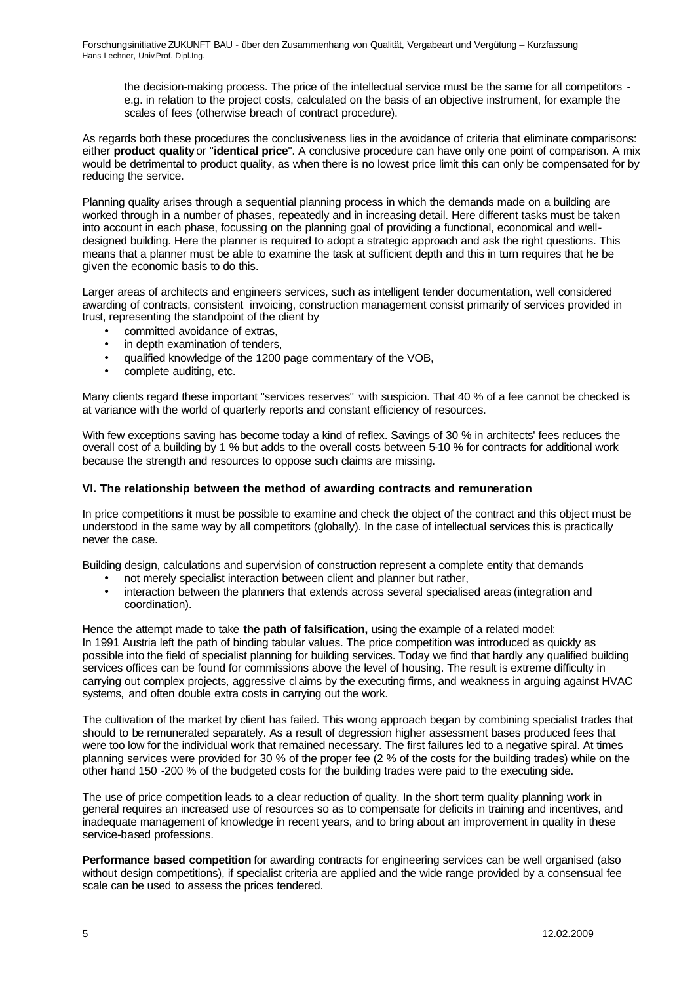the decision-making process. The price of the intellectual service must be the same for all competitors e.g. in relation to the project costs, calculated on the basis of an objective instrument, for example the scales of fees (otherwise breach of contract procedure).

As regards both these procedures the conclusiveness lies in the avoidance of criteria that eliminate comparisons: either **product quality** or "**identical price**". A conclusive procedure can have only one point of comparison. A mix would be detrimental to product quality, as when there is no lowest price limit this can only be compensated for by reducing the service.

Planning quality arises through a sequential planning process in which the demands made on a building are worked through in a number of phases, repeatedly and in increasing detail. Here different tasks must be taken into account in each phase, focussing on the planning goal of providing a functional, economical and welldesigned building. Here the planner is required to adopt a strategic approach and ask the right questions. This means that a planner must be able to examine the task at sufficient depth and this in turn requires that he be given the economic basis to do this.

Larger areas of architects and engineers services, such as intelligent tender documentation, well considered awarding of contracts, consistent invoicing, construction management consist primarily of services provided in trust, representing the standpoint of the client by

- committed avoidance of extras.
- in depth examination of tenders.
- qualified knowledge of the 1200 page commentary of the VOB,
- complete auditing, etc.

Many clients regard these important "services reserves" with suspicion. That 40 % of a fee cannot be checked is at variance with the world of quarterly reports and constant efficiency of resources.

With few exceptions saving has become today a kind of reflex. Savings of 30 % in architects' fees reduces the overall cost of a building by 1 % but adds to the overall costs between 5-10 % for contracts for additional work because the strength and resources to oppose such claims are missing.

# **VI. The relationship between the method of awarding contracts and remuneration**

In price competitions it must be possible to examine and check the object of the contract and this object must be understood in the same way by all competitors (globally). In the case of intellectual services this is practically never the case.

Building design, calculations and supervision of construction represent a complete entity that demands

- not merely specialist interaction between client and planner but rather,
- interaction between the planners that extends across several specialised areas (integration and coordination).

Hence the attempt made to take **the path of falsification,** using the example of a related model: In 1991 Austria left the path of binding tabular values. The price competition was introduced as quickly as possible into the field of specialist planning for building services. Today we find that hardly any qualified building services offices can be found for commissions above the level of housing. The result is extreme difficulty in carrying out complex projects, aggressive claims by the executing firms, and weakness in arguing against HVAC systems, and often double extra costs in carrying out the work.

The cultivation of the market by client has failed. This wrong approach began by combining specialist trades that should to be remunerated separately. As a result of degression higher assessment bases produced fees that were too low for the individual work that remained necessary. The first failures led to a negative spiral. At times planning services were provided for 30 % of the proper fee (2 % of the costs for the building trades) while on the other hand 150 -200 % of the budgeted costs for the building trades were paid to the executing side.

The use of price competition leads to a clear reduction of quality. In the short term quality planning work in general requires an increased use of resources so as to compensate for deficits in training and incentives, and inadequate management of knowledge in recent years, and to bring about an improvement in quality in these service-based professions.

**Performance based competition** for awarding contracts for engineering services can be well organised (also without design competitions), if specialist criteria are applied and the wide range provided by a consensual fee scale can be used to assess the prices tendered.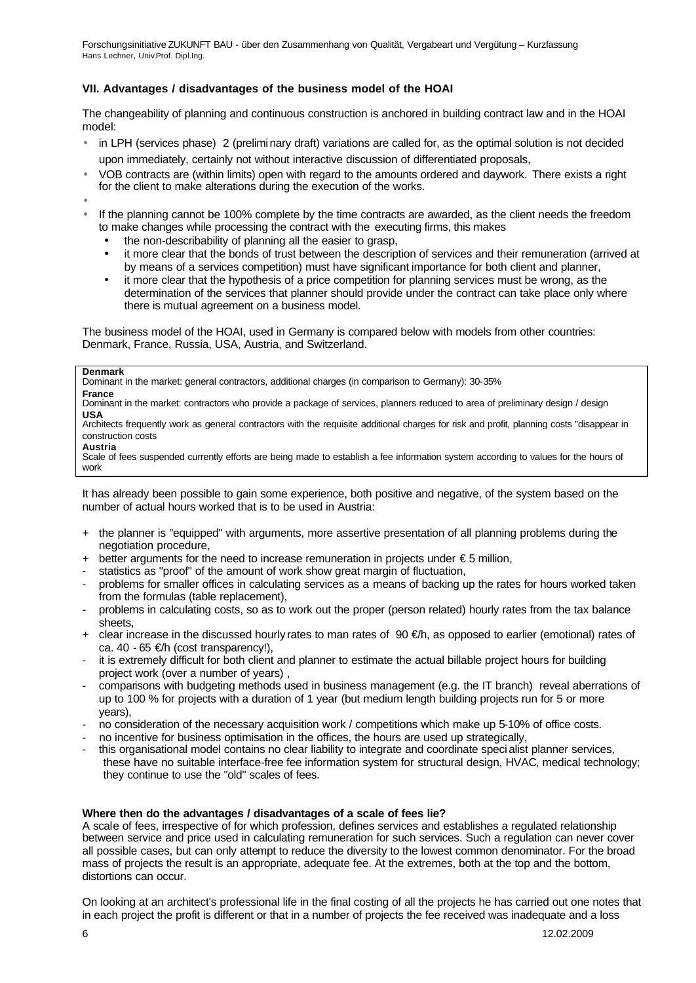# **VII. Advantages / disadvantages of the business model of the HOAI**

The changeability of planning and continuous construction is anchored in building contract law and in the HOAI model:

- in LPH (services phase) 2 (preliminary draft) variations are called for, as the optimal solution is not decided upon immediately, certainly not without interactive discussion of differentiated proposals,
- VOB contracts are (within limits) open with regard to the amounts ordered and daywork. There exists a right for the client to make alterations during the execution of the works.
- •
- If the planning cannot be 100% complete by the time contracts are awarded, as the client needs the freedom to make changes while processing the contract with the executing firms, this makes
	- the non-describability of planning all the easier to grasp,
	- it more clear that the bonds of trust between the description of services and their remuneration (arrived at by means of a services competition) must have significant importance for both client and planner,
	- it more clear that the hypothesis of a price competition for planning services must be wrong, as the determination of the services that planner should provide under the contract can take place only where there is mutual agreement on a business model.

The business model of the HOAI, used in Germany is compared below with models from other countries: Denmark, France, Russia, USA, Austria, and Switzerland.

#### **Denmark**

Dominant in the market: general contractors, additional charges (in comparison to Germany): 30-35% **France**

Dominant in the market: contractors who provide a package of services, planners reduced to area of preliminary design / design **USA**

Architects frequently work as general contractors with the requisite additional charges for risk and profit, planning costs "disappear in construction costs

# **Austria**

Scale of fees suspended currently efforts are being made to establish a fee information system according to values for the hours of work

It has already been possible to gain some experience, both positive and negative, of the system based on the number of actual hours worked that is to be used in Austria:

- + the planner is "equipped" with arguments, more assertive presentation of all planning problems during the negotiation procedure,
- $+$  better arguments for the need to increase remuneration in projects under  $\epsilon$  5 million,
- statistics as "proof" of the amount of work show great margin of fluctuation,
- problems for smaller offices in calculating services as a means of backing up the rates for hours worked taken from the formulas (table replacement),
- problems in calculating costs, so as to work out the proper (person related) hourly rates from the tax balance sheets,
- + clear increase in the discussed hourly rates to man rates of 90 €/h, as opposed to earlier (emotional) rates of ca. 40 - 65  $\not\in$ h (cost transparency!),
- it is extremely difficult for both client and planner to estimate the actual billable project hours for building project work (over a number of years) ,
- comparisons with budgeting methods used in business management (e.g. the IT branch) reveal aberrations of up to 100 % for projects with a duration of 1 year (but medium length building projects run for 5 or more years),
- no consideration of the necessary acquisition work / competitions which make up 5-10% of office costs.
- no incentive for business optimisation in the offices, the hours are used up strategically,
- this organisational model contains no clear liability to integrate and coordinate specialist planner services, these have no suitable interface-free fee information system for structural design, HVAC, medical technology; they continue to use the "old" scales of fees.

## **Where then do the advantages / disadvantages of a scale of fees lie?**

A scale of fees, irrespective of for which profession, defines services and establishes a regulated relationship between service and price used in calculating remuneration for such services. Such a regulation can never cover all possible cases, but can only attempt to reduce the diversity to the lowest common denominator. For the broad mass of projects the result is an appropriate, adequate fee. At the extremes, both at the top and the bottom, distortions can occur.

On looking at an architect's professional life in the final costing of all the projects he has carried out one notes that in each project the profit is different or that in a number of projects the fee received was inadequate and a loss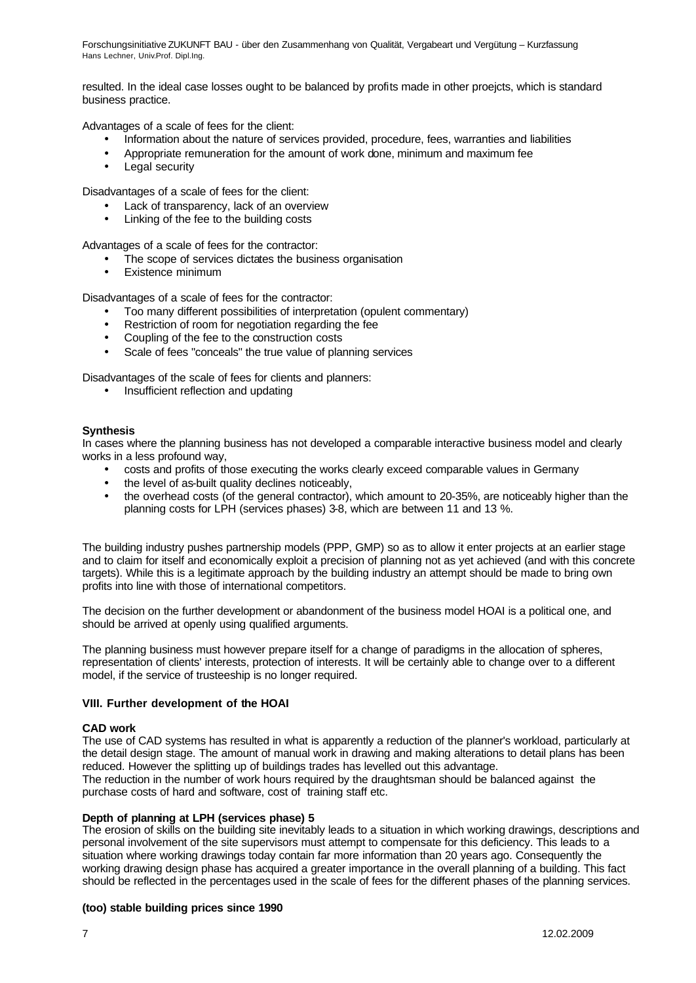resulted. In the ideal case losses ought to be balanced by profits made in other proejcts, which is standard business practice.

Advantages of a scale of fees for the client:

- Information about the nature of services provided, procedure, fees, warranties and liabilities
- Appropriate remuneration for the amount of work done, minimum and maximum fee
- Legal security

Disadvantages of a scale of fees for the client:

- Lack of transparency, lack of an overview
- Linking of the fee to the building costs

Advantages of a scale of fees for the contractor:

- The scope of services dictates the business organisation
- Existence minimum

Disadvantages of a scale of fees for the contractor:

- Too many different possibilities of interpretation (opulent commentary)
- Restriction of room for negotiation regarding the fee
- Coupling of the fee to the construction costs
- Scale of fees "conceals" the true value of planning services

Disadvantages of the scale of fees for clients and planners:

• Insufficient reflection and updating

#### **Synthesis**

In cases where the planning business has not developed a comparable interactive business model and clearly works in a less profound way,

- costs and profits of those executing the works clearly exceed comparable values in Germany
- the level of as-built quality declines noticeably,
- the overhead costs (of the general contractor), which amount to 20-35%, are noticeably higher than the planning costs for LPH (services phases) 3-8, which are between 11 and 13 %.

The building industry pushes partnership models (PPP, GMP) so as to allow it enter projects at an earlier stage and to claim for itself and economically exploit a precision of planning not as yet achieved (and with this concrete targets). While this is a legitimate approach by the building industry an attempt should be made to bring own profits into line with those of international competitors.

The decision on the further development or abandonment of the business model HOAI is a political one, and should be arrived at openly using qualified arguments.

The planning business must however prepare itself for a change of paradigms in the allocation of spheres, representation of clients' interests, protection of interests. It will be certainly able to change over to a different model, if the service of trusteeship is no longer required.

#### **VIII. Further development of the HOAI**

#### **CAD work**

The use of CAD systems has resulted in what is apparently a reduction of the planner's workload, particularly at the detail design stage. The amount of manual work in drawing and making alterations to detail plans has been reduced. However the splitting up of buildings trades has levelled out this advantage. The reduction in the number of work hours required by the draughtsman should be balanced against the

purchase costs of hard and software, cost of training staff etc.

#### **Depth of planning at LPH (services phase) 5**

The erosion of skills on the building site inevitably leads to a situation in which working drawings, descriptions and personal involvement of the site supervisors must attempt to compensate for this deficiency. This leads to a situation where working drawings today contain far more information than 20 years ago. Consequently the working drawing design phase has acquired a greater importance in the overall planning of a building. This fact should be reflected in the percentages used in the scale of fees for the different phases of the planning services.

## **(too) stable building prices since 1990**